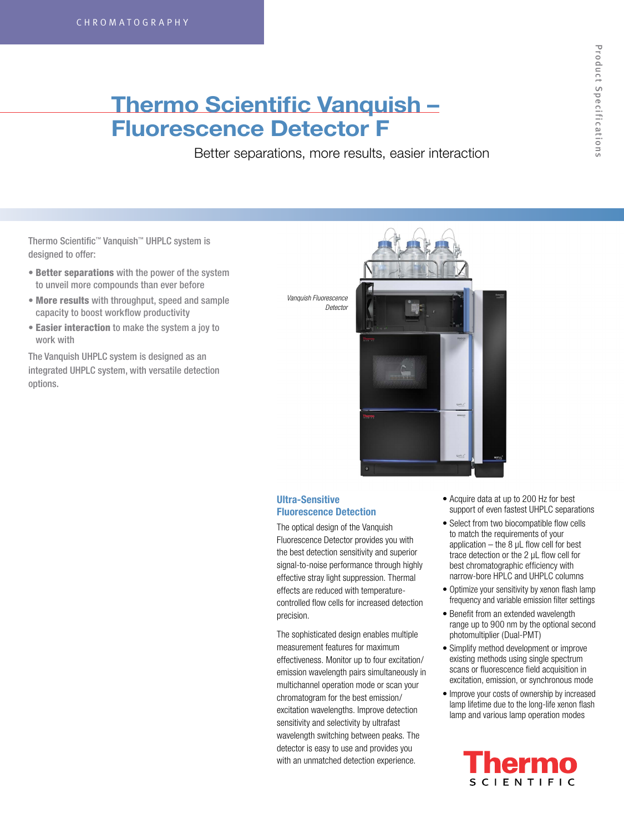## **Thermo Scientific Vanquish – Fluorescence Detector F**

Better separations, more results, easier interaction

Thermo Scientific™ Vanquish™ UHPLC system is designed to offer:

- Better separations with the power of the system to unveil more compounds than ever before
- More results with throughput, speed and sample capacity to boost workflow productivity
- Easier interaction to make the system a joy to work with

The Vanquish UHPLC system is designed as an integrated UHPLC system, with versatile detection options.



## **Ultra-Sensitive Fluorescence Detection**

The optical design of the Vanquish Fluorescence Detector provides you with the best detection sensitivity and superior signal-to-noise performance through highly effective stray light suppression. Thermal effects are reduced with temperaturecontrolled flow cells for increased detection precision.

The sophisticated design enables multiple measurement features for maximum effectiveness. Monitor up to four excitation/ emission wavelength pairs simultaneously in multichannel operation mode or scan your chromatogram for the best emission/ excitation wavelengths. Improve detection sensitivity and selectivity by ultrafast wavelength switching between peaks. The detector is easy to use and provides you with an unmatched detection experience.

- Acquire data at up to 200 Hz for best support of even fastest UHPLC separations
- Select from two biocompatible flow cells to match the requirements of your application  $-$  the 8  $\mu$ L flow cell for best trace detection or the 2 µL flow cell for best chromatographic efficiency with narrow-bore HPLC and UHPLC columns
- Optimize your sensitivity by xenon flash lamp frequency and variable emission filter settings
- Benefit from an extended wavelength range up to 900 nm by the optional second photomultiplier (Dual-PMT)
- Simplify method development or improve existing methods using single spectrum scans or fluorescence field acquisition in excitation, emission, or synchronous mode
- Improve your costs of ownership by increased lamp lifetime due to the long-life xenon flash lamp and various lamp operation modes